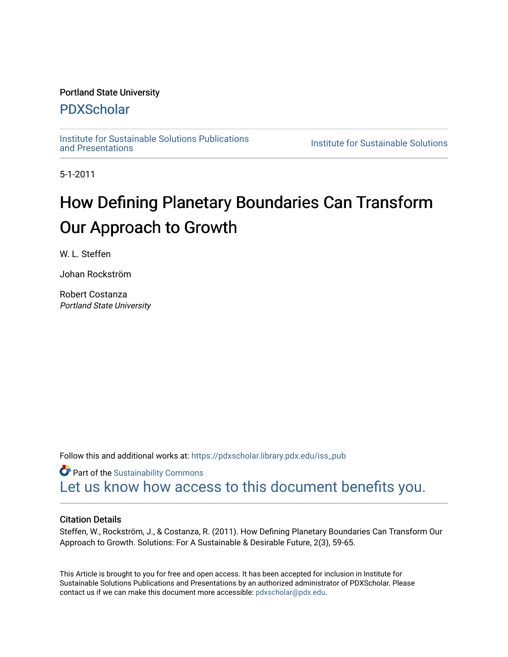## Portland State University

## [PDXScholar](https://pdxscholar.library.pdx.edu/)

[Institute for Sustainable Solutions Publications](https://pdxscholar.library.pdx.edu/iss_pub)

**Institute for Sustainable Solutions** 

5-1-2011

## How Defining Planetary Boundaries Can Transform Our Approach to Growth

W. L. Steffen

Johan Rockström

Robert Costanza Portland State University

Follow this and additional works at: [https://pdxscholar.library.pdx.edu/iss\\_pub](https://pdxscholar.library.pdx.edu/iss_pub?utm_source=pdxscholar.library.pdx.edu%2Fiss_pub%2F37&utm_medium=PDF&utm_campaign=PDFCoverPages)

**Part of the [Sustainability Commons](http://network.bepress.com/hgg/discipline/1031?utm_source=pdxscholar.library.pdx.edu%2Fiss_pub%2F37&utm_medium=PDF&utm_campaign=PDFCoverPages)** [Let us know how access to this document benefits you.](http://library.pdx.edu/services/pdxscholar-services/pdxscholar-feedback/?ref=https://pdxscholar.library.pdx.edu/iss_pub/37) 

#### Citation Details

Steffen, W., Rockström, J., & Costanza, R. (2011). How Defining Planetary Boundaries Can Transform Our Approach to Growth. Solutions: For A Sustainable & Desirable Future, 2(3), 59-65.

This Article is brought to you for free and open access. It has been accepted for inclusion in Institute for Sustainable Solutions Publications and Presentations by an authorized administrator of PDXScholar. Please contact us if we can make this document more accessible: [pdxscholar@pdx.edu](mailto:pdxscholar@pdx.edu).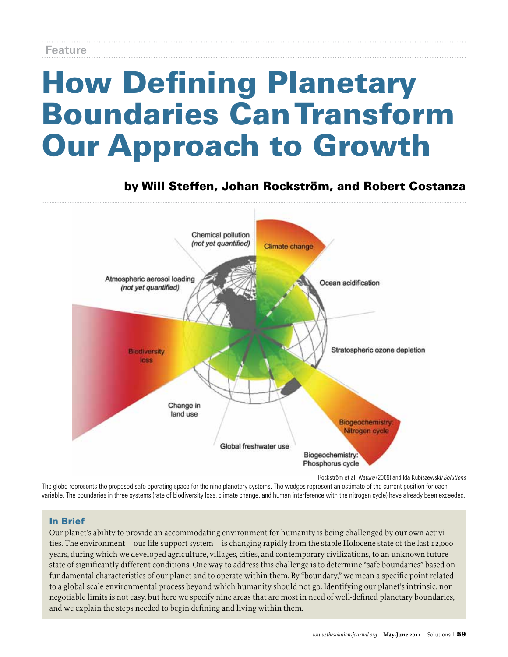# How Defining Planetary Boundaries CanTransform Our Approach to Growth

## by Will Steffen, Johan Rockström, and Robert Costanza



Rockström et al. *Nature* (2009) and Ida Kubiszewski/*Solutions*

The globe represents the proposed safe operating space for the nine planetary systems. The wedges represent an estimate of the current position for each variable. The boundaries in three systems (rate of biodiversity loss, climate change, and human interference with the nitrogen cycle) have already been exceeded.

## In Brief

Our planet's ability to provide an accommodating environment for humanity is being challenged by our own activities. The environment—our life-support system—is changing rapidly from the stable Holocene state of the last 12,000 years, during which we developed agriculture, villages, cities, and contemporary civilizations, to an unknown future state of significantly different conditions. One way to address this challenge is to determine "safe boundaries" based on fundamental characteristics of our planet and to operate within them. By "boundary," we mean a specific point related to a global-scale environmental process beyond which humanity should not go. Identifying our planet's intrinsic, nonnegotiable limits is not easy, but here we specify nine areas that are most in need of well-defined planetary boundaries, and we explain the steps needed to begin defining and living within them.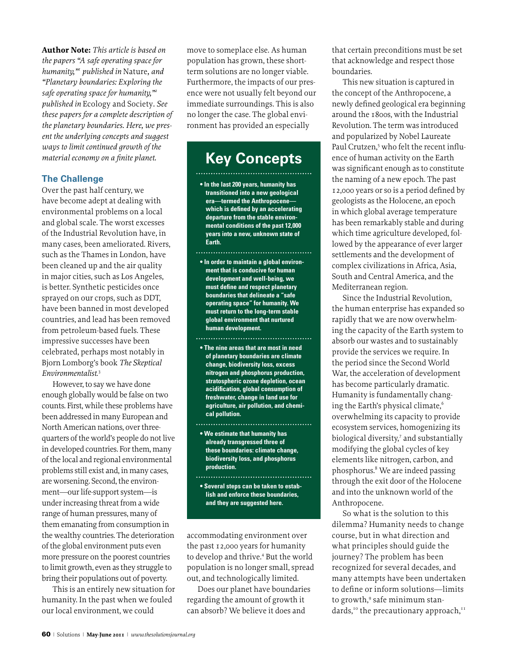**Author Note:** *This article is based on the papers "A safe operating space for humanity,"1 published in* Nature*, and "Planetary boundaries: Exploring the safe operating space for humanity,"2 published in* Ecology and Society*. See these papers for a complete description of the planetary boundaries. Here, we present the underlying concepts and suggest ways to limit continued growth of the material economy on a finite planet.*

#### **The Challenge**

Over the past half century, we have become adept at dealing with environmental problems on a local and global scale. The worst excesses of the Industrial Revolution have, in many cases, been ameliorated. Rivers, such as the Thames in London, have been cleaned up and the air quality in major cities, such as Los Angeles, is better. Synthetic pesticides once sprayed on our crops, such as DDT, have been banned in most developed countries, and lead has been removed from petroleum-based fuels. These impressive successes have been celebrated, perhaps most notably in Bjorn Lomborg's book *The Skeptical Environmentalist*. 3

However, to say we have done enough globally would be false on two counts. First, while these problems have been addressed in many European and North American nations, over threequarters of the world's people do not live in developed countries. For them, many of the local and regional environmental problemsstill exist and, in many cases, are worsening. Second, the environment—our life-support system—is under increasing threat from a wide range of human pressures, many of them emanating from consumption in the wealthy countries. The deterioration of the global environment puts even more pressure on the poorest countries to limit growth, even as they struggle to bring their populations out of poverty.

This is an entirely new situation for humanity. In the past when we fouled our local environment, we could

move to someplace else. As human population has grown, these shortterm solutions are no longer viable. Furthermore, the impacts of our presence were not usually felt beyond our immediate surroundings. This is also no longer the case. The global environment has provided an especially

## **Key Concepts**

**• In the last 200 years, humanity has transitioned into a new geological era—termed the Anthropocene which is defined by an accelerating departure from the stable environmental conditions of the past 12,000 years into a new, unknown state of Earth.** 

- **In order to maintain a global environment that is conducive for human development and well-being, we must define and respect planetary boundaries that delineate a "safe operating space" for humanity. We must return to the long-term stable global environment that nurtured human development.**
- **The nine areas that are most in need of planetary boundaries are climate change, biodiversity loss, excess nitrogen and phosphorus production, stratospheric ozone depletion, ocean acidification, global consumption of freshwater, change in land use for agriculture, air pollution, and chemical pollution.**

**• We estimate that humanity has already transgressed three of these boundaries: climate change, biodiversity loss, and phosphorus production.**

**• Several steps can be taken to establish and enforce these boundaries, and they are suggested here.**

accommodating environment over the past 12,000 years for humanity to develop and thrive.<sup>4</sup> But the world population is no longer small, spread out, and technologically limited.

Does our planet have boundaries regarding the amount of growth it can absorb? We believe it does and

that certain preconditions must be set that acknowledge and respect those boundaries.

This new situation is captured in the concept of the Anthropocene, a newly defined geological era beginning around the 1800s, with the Industrial Revolution. The term wasintroduced and popularized by Nobel Laureate Paul Crutzen,<sup>5</sup> who felt the recent influence of human activity on the Earth was significant enough as to constitute the naming of a new epoch. The past 12,000 years or so is a period defined by geologists asthe Holocene, an epoch in which global average temperature has been remarkably stable and during which time agriculture developed, followed by the appearance of ever larger settlements and the development of complex civilizations in Africa, Asia, South and Central America, and the Mediterranean region.

Since the Industrial Revolution, the human enterprise has expanded so rapidly that we are now overwhelming the capacity of the Earth system to absorb our wastes and to sustainably provide the services we require. In the period since the Second World War, the acceleration of development has become particularly dramatic. Humanity is fundamentally changing the Earth's physical climate,<sup>6</sup> overwhelming its capacity to provide ecosystem services, homogenizing its biological diversity,7 and substantially modifying the global cycles of key elements like nitrogen, carbon, and phosphorus.8 We are indeed passing through the exit door of the Holocene and into the unknown world of the Anthropocene.

So what is the solution to this dilemma? Humanity needs to change course, but in what direction and what principles should guide the journey? The problem has been recognized for several decades, and many attempts have been undertaken to define or inform solutions—limits to growth,<sup>9</sup> safe minimum standards,<sup>10</sup> the precautionary approach,<sup>11</sup>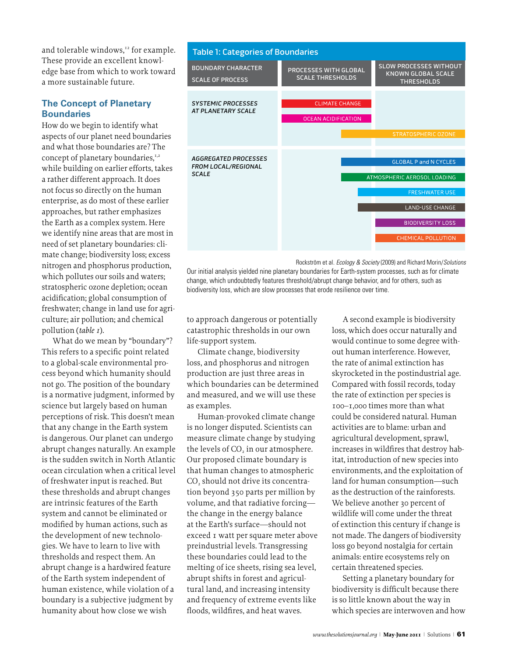and tolerable windows,<sup>12</sup> for example. These provide an excellent knowledge base from which to work toward a more sustainable future.

## **The Concept of Planetary Boundaries**

How do we begin to identify what aspects of our planet need boundaries and what those boundaries are? The concept of planetary boundaries,<sup>1,2</sup> while building on earlier efforts, takes a rather different approach. It does not focus so directly on the human enterprise, as do most of these earlier approaches, but rather emphasizes the Earth as a complex system. Here we identify nine areas that are most in need of set planetary boundaries: climate change; biodiversity loss; excess nitrogen and phosphorus production, which pollutes our soils and waters; stratospheric ozone depletion; ocean acidification; global consumption of freshwater; change in land use for agriculture; air pollution; and chemical pollution (*table 1*).

What do we mean by "boundary"? This refers to a specific point related to a global-scale environmental process beyond which humanity should not go. The position of the boundary is a normative judgment, informed by science but largely based on human perceptions of risk. This doesn't mean that any change in the Earth system is dangerous. Our planet can undergo abrupt changes naturally. An example is the sudden switch in North Atlantic ocean circulation when a critical level of freshwater input is reached. But these thresholds and abrupt changes are intrinsic features of the Earth system and cannot be eliminated or modified by human actions, such as the development of new technologies. We have to learn to live with thresholds and respect them. An abrupt change is a hardwired feature of the Earth system independent of human existence, while violation of a boundary is a subjective judgment by humanity about how close we wish



Rockström et al. *Ecology & Society* (2009) and Richard Morin/*Solutions*  Our initial analysis yielded nine planetary boundaries for Earth-system processes, such as for climate change, which undoubtedly features threshold/abrupt change behavior, and for others, such as change, which undoubledly reatures threshold/abrupt change behavior, and<br>biodiversity loss, which are slow processes that erode resilience over time.

to approach dangerous or potentially catastrophic thresholds in our own lo life-support system.

Climate change, biodiversity loss, and phosphorus and nitrogen production are just three areas in which boundaries can be determined and measured, and we will use these the as examples.  $t$  the atmosphere for  $\mathbf{r}$ 

nd million of the million of the mail research.<br>Human-provoked climate change of too is no longer disputed. Scientists can ad measure climate change by studying the levels of CO<sub>2</sub> in our atmosphere. Our proposed climate boundary is that human changes to atmospheric CO<sub>2</sub> should not drive its concentra- $\frac{35}{2}$  should not drive its concentration by volume, and that radiative forcing— U the change in the energy balance at the Earth's surface—should not exceed 1 watt per square meter above preindustrial levels. Transgressing these boundaries could lead to the melting of ice sheets, rising sea level, cer abrupt shifts in forest and agricultural land, and increasing intensity bio and frequency of extreme events like is : floods, wildfires, and heat waves.  $\qquad \qquad$  wh

A second example is biodiversity loss, which does occur naturally and would continue to some degree without human interference. However, the rate of animal extinction has skyrocketed in the postindustrial age. Compared with fossil records, today the rate of extinction per species is 100–1,000 times more than what could be considered natural. Human activities are to blame: urban and agricultural development, sprawl, increases in wildfires that destroy habitat, introduction of new species into environments, and the exploitation of land for human consumption—such as the destruction of the rainforests. We believe another 30 percent of we beneve another yo percent or<br>wildlife will come under the threat of extinction this century if change is not made. The dangers of biodiversity loss go beyond nostalgia for certain animals: entire ecosystems rely on certain threatened species.

Setting a planetary boundary for biodiversity is difficult because there is so little known about the way in which species are interwoven and how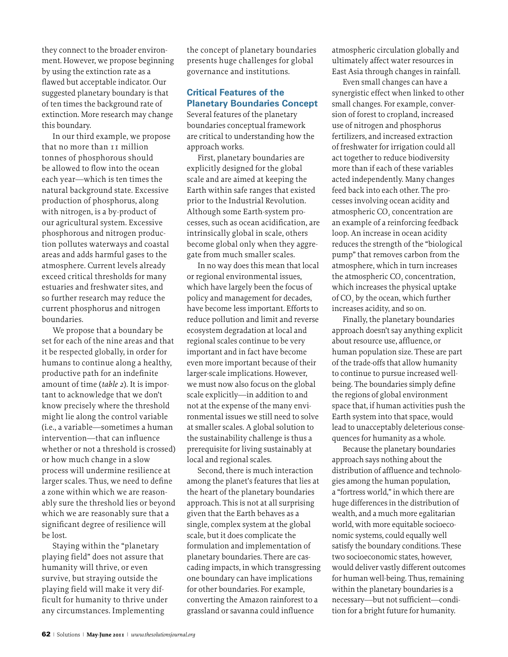they connect to the broader environment. However, we propose beginning by using the extinction rate as a flawed but acceptable indicator. Our suggested planetary boundary is that of ten times the background rate of extinction. More research may change this boundary.

In our third example, we propose that no more than 11 million tonnes of phosphorous should be allowed to flow into the ocean each year—which is ten times the natural background state. Excessive production of phosphorus, along with nitrogen, is a by-product of our agricultural system. Excessive phosphorous and nitrogen production pollutes waterways and coastal areas and adds harmful gases to the atmosphere. Current levels already exceed critical thresholds for many estuaries and freshwater sites, and so further research may reduce the current phosphorus and nitrogen boundaries.

We propose that a boundary be set for each of the nine areas and that it be respected globally, in order for humans to continue along a healthy, productive path for an indefinite amount of time (*table 2*). It is important to acknowledge that we don't know precisely where the threshold might lie along the control variable (i.e., a variable—sometimes a human intervention—that can influence whether or not a threshold is crossed) or how much change in a slow process will undermine resilience at larger scales. Thus, we need to define a zone within which we are reasonably sure the threshold lies or beyond which we are reasonably sure that a significant degree of resilience will be lost.

Staying within the "planetary playing field" does not assure that humanity will thrive, or even survive, but straying outside the playing field will make it very difficult for humanity to thrive under any circumstances. Implementing

the concept of planetary boundaries presents huge challenges for global governance and institutions.

## **Critical Features of the Planetary Boundaries Concept**

Several features of the planetary boundaries conceptual framework are critical to understanding how the approach works.

First, planetary boundaries are explicitly designed for the global scale and are aimed at keeping the Earth within safe ranges that existed prior to the Industrial Revolution. Although some Earth-system processes, such as ocean acidification, are intrinsically global in scale, others become global only when they aggregate from much smaller scales.

In no way does this mean that local or regional environmental issues, which have largely been the focus of policy and management for decades, have become less important. Efforts to reduce pollution and limit and reverse ecosystem degradation at local and regional scales continue to be very important and in fact have become even more important because of their larger-scale implications. However, we must now also focus on the global scale explicitly—in addition to and not at the expense of the many environmental issues we still need to solve at smaller scales. A global solution to the sustainability challenge is thus a prerequisite for living sustainably at local and regional scales.

Second, there is much interaction among the planet's features that lies at the heart of the planetary boundaries approach. This is not at all surprising given that the Earth behaves as a single, complex system at the global scale, but it does complicate the formulation and implementation of planetary boundaries. There are cascading impacts, in which transgressing one boundary can have implications for other boundaries. For example, converting the Amazon rainforest to a grassland or savanna could influence

atmospheric circulation globally and ultimately affect water resources in East Asia through changes in rainfall.

Even small changes can have a synergistic effect when linked to other small changes. For example, conversion of forest to cropland, increased use of nitrogen and phosphorus fertilizers, and increased extraction of freshwater for irrigation could all act together to reduce biodiversity more than if each of these variables acted independently. Many changes feed back into each other. The processes involving ocean acidity and atmospheric CO<sub>2</sub> concentration are an example of a reinforcing feedback loop. An increase in ocean acidity reduces the strength of the "biological pump" that removes carbon from the atmosphere, which in turn increases the atmospheric CO<sub>2</sub> concentration, which increases the physical uptake of CO<sub>2</sub> by the ocean, which further increases acidity, and so on.

Finally, the planetary boundaries approach doesn'tsay anything explicit about resource use, affluence, or human population size. These are part of the trade-offs that allow humanity to continue to pursue increased wellbeing. The boundaries simply define the regions of global environment space that, if human activities push the Earth system into that space, would lead to unacceptably deleterious consequences for humanity as a whole.

Because the planetary boundaries approach says nothing about the distribution of affluence and technologies among the human population, a "fortress world,"in which there are huge differences in the distribution of wealth, and a much more egalitarian world, with more equitable socioeconomic systems, could equally well satisfy the boundary conditions. These two socioeconomic states, however, would deliver vastly different outcomes for human well-being. Thus, remaining within the planetary boundaries is a necessary—but not sufficient—condition for a bright future for humanity.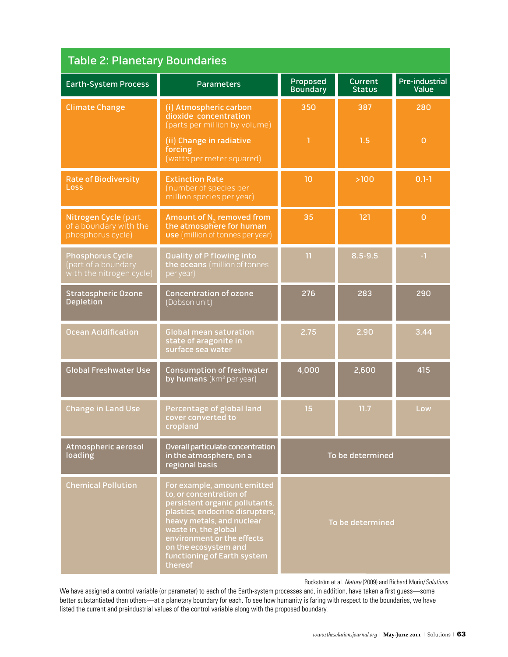| <b>Table 2: Planetary Boundaries</b>                                       |                                                                                                                                                                                                                                                                                  |                             |                                 |                                |
|----------------------------------------------------------------------------|----------------------------------------------------------------------------------------------------------------------------------------------------------------------------------------------------------------------------------------------------------------------------------|-----------------------------|---------------------------------|--------------------------------|
| <b>Earth-System Process</b>                                                | <b>Parameters</b>                                                                                                                                                                                                                                                                | Proposed<br><b>Boundary</b> | <b>Current</b><br><b>Status</b> | <b>Pre-industrial</b><br>Value |
| <b>Climate Change</b>                                                      | (i) Atmospheric carbon<br>dioxide concentration<br>(parts per million by volume)                                                                                                                                                                                                 | 350                         | 387                             | 280                            |
|                                                                            | (ii) Change in radiative<br>forcing<br>(watts per meter squared)                                                                                                                                                                                                                 | ı                           | 1.5                             | $\mathbf 0$                    |
| <b>Rate of Biodiversity</b><br>Loss                                        | <b>Extinction Rate</b><br>(number of species per<br>million species per year)                                                                                                                                                                                                    | 10                          | >100                            | $0.1 - 1$                      |
| Nitrogen Cycle (part<br>of a boundary with the<br>phosphorus cycle)        | Amount of N <sub>2</sub> removed from<br>the atmosphere for human<br><b>use</b> (million of tonnes per year)                                                                                                                                                                     | 35                          | 121                             | $\overline{0}$                 |
| <b>Phosphorus Cycle</b><br>(part of a boundary<br>with the nitrogen cycle) | <b>Quality of P flowing into</b><br>the oceans (million of tonnes<br>per year)                                                                                                                                                                                                   | 11                          | $8.5 - 9.5$                     | -1                             |
| <b>Stratospheric Ozone</b><br><b>Depletion</b>                             | <b>Concentration of ozone</b><br>(Dobson unit)                                                                                                                                                                                                                                   | 276                         | 283                             | 290                            |
| <b>Ocean Acidification</b>                                                 | <b>Global mean saturation</b><br>state of aragonite in<br>surface sea water                                                                                                                                                                                                      | 2.75                        | 2.90                            | 3.44                           |
| <b>Global Freshwater Use</b>                                               | <b>Consumption of freshwater</b><br>by humans (km <sup>3</sup> per year)                                                                                                                                                                                                         | 4,000                       | 2,600                           | 415                            |
| <b>Change in Land Use</b>                                                  | Percentage of global land<br>cover converted to<br>cropland                                                                                                                                                                                                                      | 15                          | 11.7                            | Low                            |
| Atmospheric aerosol<br>loading                                             | Overall particulate concentration<br>in the atmosphere, on a<br>regional basis                                                                                                                                                                                                   | To be determined            |                                 |                                |
| <b>Chemical Pollution</b>                                                  | For example, amount emitted<br>to, or concentration of<br>persistent organic pollutants,<br>plastics, endocrine disrupters,<br>heavy metals, and nuclear<br>waste in, the global<br>environment or the effects<br>on the ecosystem and<br>functioning of Earth system<br>thereof | To be determined            |                                 |                                |

Rockström et al. *Nature* (2009) and Richard Morin/*Solutions*

We have assigned a control variable (or parameter) to each of the Earth-system processes and, in addition, have taken a first guess—some better substantiated than others—at a planetary boundary for each. To see how humanity is faring with respect to the boundaries, we have listed the current and preindustrial values of the control variable along with the proposed boundary.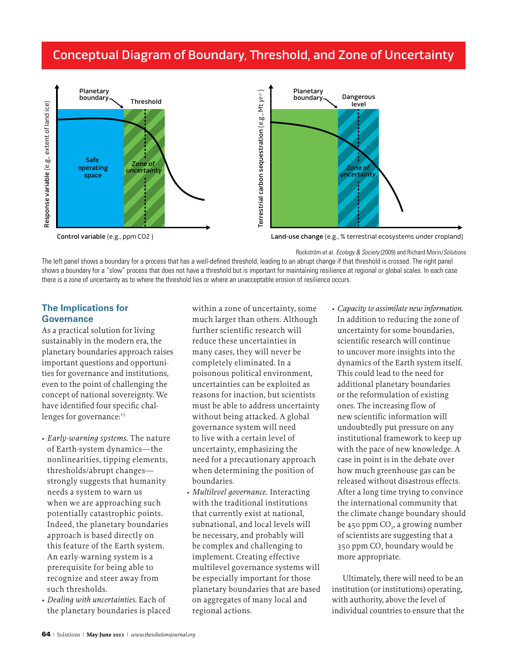## Conceptual Diagram of Boundary, Threshold, and Zone of Uncertainty





Land-use change (e.g., % terrestrial ecosystems under cropland)

Rockström et al. *Ecology & Society* (2009) and Richard Morin/*Solutions* 

The left panel shows a boundary for a process that has a well-defined threshold, leading to an abrupt change if that threshold is crossed. The right panel shows a boundary for a "slow" process that does not have a threshold but is important for maintaining resilience at regional or global scales. In each case there is a zone of uncertainty as to where the threshold lies or where an unacceptable erosion of resilience occurs.

## **The Implications for Governance**

As a practical solution for living sustainably in the modern era, the planetary boundaries approach raises important questions and opportunimiportant questions and opportum-<br>ties for governance and institutions, even to the point of challenging the concept of national sovereignty. We have identified four specific challenges for governance:<sup>13</sup>

- *Early-warning systems.* The nature of Earth-system dynamics—the nonlinearities, tipping elements, thresholds/abrupt changes uncsholds/abrupt changes—<br>strongly suggests that humanity needs a system to warn us when we are approaching such potentially catastrophic points. Indeed, the planetary boundaries approach is based directly on this feature of the Earth system. An early-warning system is a prerequisite for being able to recognize and steer away from such thresholds.
- *Dealing with uncertainties.* Each of the planetary boundaries is placed

within a zone of uncertainty, some much larger than others. Although further scientific research will reduce these uncertainties in many cases, they will never be completely eliminated. In a poisonous political environment, uncertainties can be exploited as reasons for inaction, but scientists must be able to address uncertainty without being attacked. A global governance system will need to live with a certain level of uncertainty, emphasizing the need for a precautionary approach when determining the position of boundaries.

- *Multilevel governance.* Interacting with the traditional institutions that currently exist at national, subnational, and local levels will be necessary, and probably will be complex and challenging to implement. Creating effective multilevel governance systems will be especially important for those planetary boundaries that are based on aggregates of many local and regional actions.
- Capacity to assimilate new information. In addition to reducing the zone of uncertainty for some boundaries, uncertantly for some boundancs<br>scientific research will continue to uncover more insights into the dynamics of the Earth system itself. This could lead to the need for additional planetary boundaries or the reformulation of existing ones. The increasing flow of new scientific information will undoubtedly put pressure on any institutional framework to keep up with the pace of new knowledge. A case in point is in the debate over how much greenhouse gas can be released without disastrous effects. After a long time trying to convince the international community that the climate change boundary should be 450 ppm CO<sub>2</sub>, a growing number of scientists are suggesting that a 350 ppm CO<sub>2</sub> boundary would be more appropriate.

Ultimately, there will need to be an institution (or institutions) operating, with authority, above the level of individual countries to ensure that the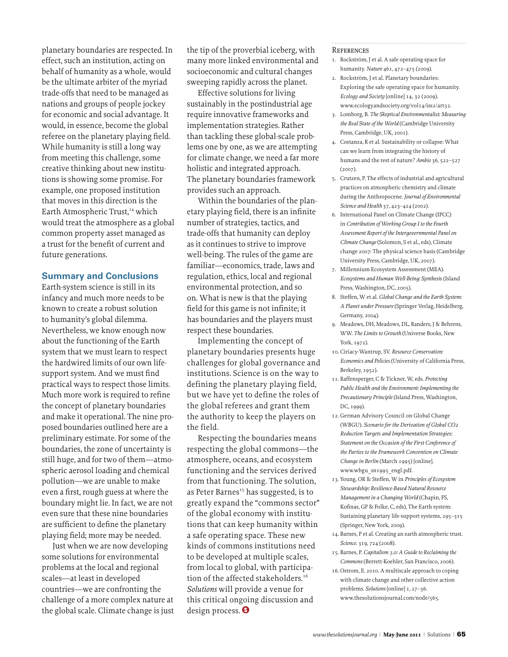planetary boundaries are respected. In effect, such an institution, acting on behalf of humanity as a whole, would be the ultimate arbiter of the myriad trade-offs that need to be managed as nations and groups of people jockey for economic and social advantage. It would, in essence, become the global referee on the planetary playing field. While humanity is still a long way from meeting this challenge, some creative thinking about new institutions is showing some promise. For example, one proposed institution that moves in this direction is the Earth Atmospheric Trust,<sup>14</sup> which would treat the atmosphere as a global common property asset managed as a trust for the benefit of current and future generations.

#### **Summary and Conclusions**

Earth-system science is still in its infancy and much more needs to be known to create a robust solution to humanity's global dilemma. Nevertheless, we know enough now about the functioning of the Earth system that we must learn to respect the hardwired limits of our own lifesupport system. And we must find practical ways to respect those limits. Much more work is required to refine the concept of planetary boundaries and make it operational. The nine proposed boundaries outlined here are a preliminary estimate. For some of the boundaries, the zone of uncertainty is still huge, and for two of them—atmospheric aerosol loading and chemical pollution—we are unable to make even a first, rough guess at where the boundary might lie. In fact, we are not even sure that these nine boundaries are sufficient to define the planetary playing field; more may be needed.

Just when we are now developing some solutions for environmental problems at the local and regional scales—at least in developed countries—we are confronting the challenge of a more complex nature at the global scale. Climate change is just

the tip of the proverbial iceberg, with many more linked environmental and socioeconomic and cultural changes sweeping rapidly across the planet.

Effective solutions for living sustainably in the postindustrial age require innovative frameworks and implementation strategies. Rather than tackling these global-scale problems one by one, as we are attempting for climate change, we need a far more holistic and integrated approach. The planetary boundaries framework provides such an approach.

Within the boundaries of the planetary playing field, there is an infinite number of strategies, tactics, and trade-offs that humanity can deploy as it continues to strive to improve well-being. The rules of the game are familiar—economics, trade, laws and regulation, ethics, local and regional environmental protection, and so on. What is new is that the playing field for this game is not infinite; it has boundaries and the players must respect these boundaries.

Implementing the concept of planetary boundaries presents huge challenges for global governance and institutions. Science is on the way to defining the planetary playing field, but we have yet to define the roles of the global referees and grant them the authority to keep the players on the field.

Respecting the boundaries means respecting the global commons—the atmosphere, oceans, and ecosystem functioning and the services derived from that functioning. The solution, as Peter Barnes<sup>15</sup> has suggested, is to greatly expand the "commons sector" of the global economy with institutions that can keep humanity within a safe operating space. These new kinds of commons institutions need to be developed at multiple scales, from local to global, with participation of the affected stakeholders.<sup>16</sup> *Solutions* will provide a venue for this critical ongoing discussion and design process.<sup>9</sup>

#### **REFERENCES**

- 1. Rockström, J et al. A safe operating space for humanity. *Nature* 461, 472–475 (2009).
- 2. Rockström, J et al. Planetary boundaries: Exploring the safe operating space for humanity. *Ecology and Society* [online] 14, 32 (2009). www.ecologyandsociety.org/vol14/iss2/art32.
- 3. Lomborg, B. *The Skeptical Environmentalist: Measuring the Real State of the World* (Cambridge University Press, Cambridge, UK, 2001).
- 4. Costanza, R et al. Sustainability or collapse: What can we learn from integrating the history of humans and the rest of nature? *Ambio* 36, 522–527 (2007).
- 5. Crutzen, P. The effects of industrial and agricultural practices on atmospheric chemistry and climate during the Anthropocene. *Journal of Environmental Science and Health* 37, 423–424 (2002).
- 6. International Panel on Climate Change (IPCC) in *Contribution of Working Group I to the Fourth Assessment Report of the Intergovernmental Panel on Climate Change* (Solomon, S et al., eds), Climate change 2007: The physical science basis (Cambridge University Press, Cambridge, UK, 2007).
- 7. Millennium Ecosystem Assessment (MEA). *Ecosystems and Human Well-Being: Synthesi*s (Island Press, Washington, DC, 2005).
- 8. Steffen, W et al. *Global Change and the Earth System: A Planet under Pressure* (Springer Verlag, Heidelberg, Germany, 2004).
- 9. Meadows, DH, Meadows, DL, Randers, J & Behrens, WW. *The Limits to Growth* (Universe Books, New York, 1972).
- 10. Ciriacy-Wantrup, SV. *Resource Conservation: Economics and Policies* (University of California Press, Berkeley, 1952).
- 11. Raffensperger, C & Tickner, W, eds. *Protecting Public Health and the Environment: Implementing the Precautionary Principle* (Island Press, Washington, DC, 1999).
- 12. German Advisory Council on Global Change (WBGU). *Scenario for the Derivation of Global CO2 Reduction Targets and Implementation Strategies: Statement on the Occasion of the First Conference of the Parties to the Framework Convention on Climate Change in Berlin* (March 1995) [online]. www.wbgu\_sn1995\_engl.pdf.
- 13. Young, OR & Steffen, W in *Principles of Ecosystem Stewardship: Resilience-Based Natural Resource Management in a Changing World* (Chapin, FS, Kofinas, GP & Folke, C, eds), The Earth system: Sustaining planetary life-support systems, 295–315 (Springer, New York, 2009).
- 14. Barnes, P et al. Creating an earth atmospheric trust. *Science*. 319, 724 (2008).
- 15. Barnes, P. *Capitalism 3.0: A Guide to Reclaiming the Commons* (Berrett-Koehler, San Francisco, 2006).
- 16. Ostrom, E. 2010. A multiscale approach to coping with climate change and other collective action problems. *Solutions* [online] 1, 27–36. www.thesolutionsjournal.com/node/565.